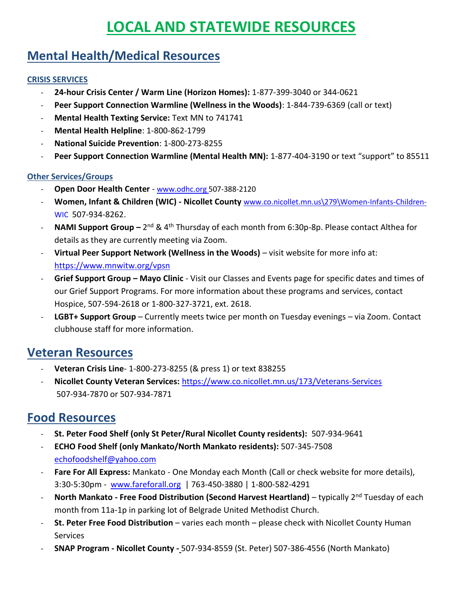# **LOCAL AND STATEWIDE RESOURCES**

## **Mental Health/Medical Resources**

#### **CRISIS SERVICES**

- **24-hour Crisis Center / Warm Line (Horizon Homes):** 1-877-399-3040 or 344-0621
- **Peer Support Connection Warmline (Wellness in the Woods)**: 1-844-739-6369 (call or text)
- **Mental Health Texting Service:** Text MN to 741741
- **Mental Health Helpline**: 1-800-862-1799
- **National Suicide Prevention**: 1-800-273-8255
- **Peer Support Connection Warmline (Mental Health MN):** 1-877-404-3190 or text "support" to 85511

#### **Other Services/Groups**

- **Open Door Health Center** www.odhc.org 507-388-2120
- **Women, Infant & Children (WIC) - Nicollet County** [www.co.nicollet.mn.us\279\Women-Infants-Children-](http://www.co.nicollet.mn.us/279/Women-Infants-Children-WIC)[WIC](http://www.co.nicollet.mn.us/279/Women-Infants-Children-WIC) 507-934-8262.
- **NAMI Support Group** 2<sup>nd</sup> & 4<sup>th</sup> Thursday of each month from 6:30p-8p. Please contact Althea for details as they are currently meeting via Zoom.
- **Virtual Peer Support Network (Wellness in the Woods)** visit website for more info at: <https://www.mnwitw.org/vpsn>
- **Grief Support Group – Mayo Clinic** Visit our Classes and Events page for specific dates and times of our Grief Support Programs. For more information about these programs and services, contact Hospice, 507-594-2618 or 1-800-327-3721, ext. 2618.
- **LGBT+ Support Group** Currently meets twice per month on Tuesday evenings via Zoom. Contact clubhouse staff for more information.

### **Veteran Resources**

- **Veteran Crisis Line** 1-800-273-8255 (& press 1) or text 838255
- **Nicollet County Veteran Services:** <https://www.co.nicollet.mn.us/173/Veterans-Services> 507-934-7870 or 507-934-7871

### **Food Resources**

- **St. Peter Food Shelf (only St Peter/Rural Nicollet County residents):** 507-934-9641
- **ECHO Food Shelf (only Mankato/North Mankato residents):** 507-345-7508 [echofoodshelf@yahoo.com](mailto:echofoodshelf@yahoo.com)
- **Fare For All Express:** Mankato One Monday each Month (Call or check website for more details), 3:30-5:30pm - [www.fareforall.org](http://www.fareforall.org/) | 763-450-3880 | 1-800-582-4291
- **North Mankato - Free Food Distribution (Second Harvest Heartland)** typically 2nd Tuesday of each month from 11a-1p in parking lot of Belgrade United Methodist Church.
- **St. Peter Free Food Distribution** varies each month please check with Nicollet County Human Services
- **SNAP Program - Nicollet County -** 507-934-8559 (St. Peter) 507-386-4556 (North Mankato)